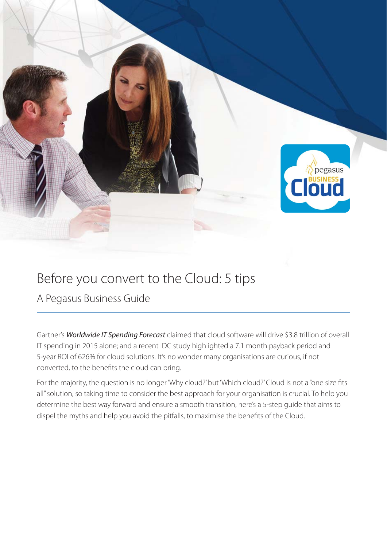

## Before you convert to the Cloud: 5 tips

A Pegasus Business Guide

Gartner's *Worldwide IT Spending Forecast* claimed that cloud software will drive \$3.8 trillion of overall IT spending in 2015 alone; and a recent IDC study highlighted a 7.1 month payback period and 5-year ROI of 626% for cloud solutions. It's no wonder many organisations are curious, if not converted, to the benefits the cloud can bring.

For the majority, the question is no longer 'Why cloud?' but 'Which cloud?' Cloud is not a "one size fits all" solution, so taking time to consider the best approach for your organisation is crucial. To help you determine the best way forward and ensure a smooth transition, here's a 5-step guide that aims to dispel the myths and help you avoid the pitfalls, to maximise the benefits of the Cloud.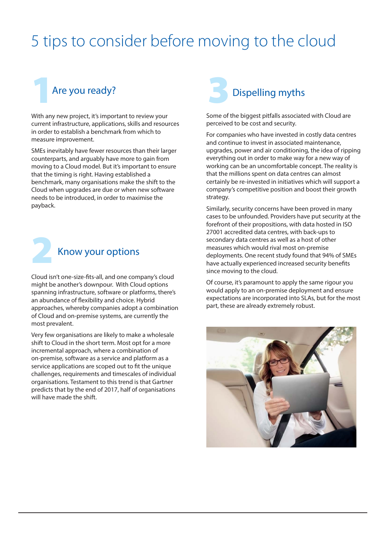## 5 tips to consider before moving to the cloud



**1 31 Are you ready?** Dispelling myths<br>
With any new project, it's important to review your<br>
current infrastructure, applications, skills and resources<br>
in order to establish a benchmark from which to<br>
measure improvement. With any new project, it's important to review your current infrastructure, applications, skills and resources in order to establish a benchmark from which to measure improvement.

SMEs inevitably have fewer resources than their larger counterparts, and arguably have more to gain from moving to a Cloud model. But it's important to ensure that the timing is right. Having established a benchmark, many organisations make the shift to the Cloud when upgrades are due or when new software needs to be introduced, in order to maximise the payback.



Cloud is<br>might b<sub>o</sub><br>spanning<br>an abun Cloud isn't one-size-fits-all, and one company's cloud might be another's downpour. With Cloud options spanning infrastructure, software or platforms, there's an abundance of flexibility and choice. Hybrid approaches, whereby companies adopt a combination of Cloud and on-premise systems, are currently the most prevalent.

Very few organisations are likely to make a wholesale shift to Cloud in the short term. Most opt for a more incremental approach, where a combination of on-premise, software as a service and platform as a service applications are scoped out to fit the unique challenges, requirements and timescales of individual organisations. Testament to this trend is that Gartner predicts that by the end of 2017, half of organisations will have made the shift.



Some of the biggest pitfalls associated with Cloud are perceived to be cost and security.

For companies who have invested in costly data centres and continue to invest in associated maintenance, upgrades, power and air conditioning, the idea of ripping everything out in order to make way for a new way of working can be an uncomfortable concept. The reality is that the millions spent on data centres can almost certainly be re-invested in initiatives which will support a company's competitive position and boost their growth strategy.

Similarly, security concerns have been proved in many cases to be unfounded. Providers have put security at the forefront of their propositions, with data hosted in ISO 27001 accredited data centres, with back-ups to secondary data centres as well as a host of other measures which would rival most on-premise deployments. One recent study found that 94% of SMEs have actually experienced increased security benefits since moving to the cloud.

Of course, it's paramount to apply the same rigour you would apply to an on-premise deployment and ensure expectations are incorporated into SLAs, but for the most part, these are already extremely robust.